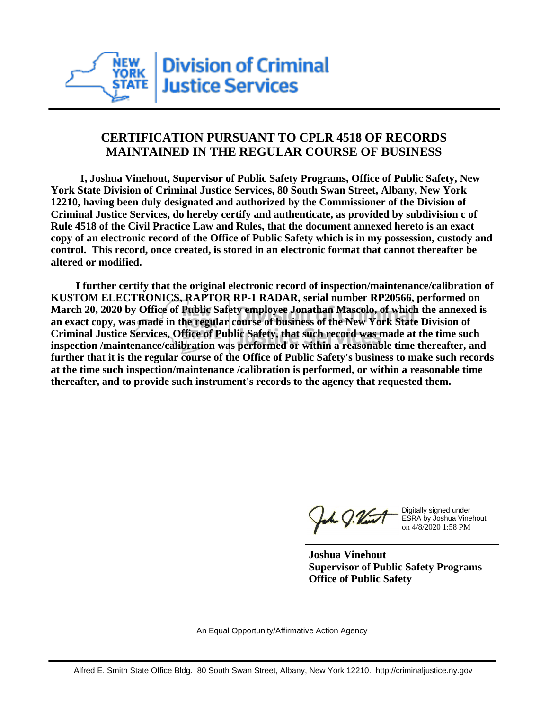

## **CERTIFICATION PURSUANT TO CPLR 4518 OF RECORDS MAINTAINED IN THE REGULAR COURSE OF BUSINESS**

 **I, Joshua Vinehout, Supervisor of Public Safety Programs, Office of Public Safety, New York State Division of Criminal Justice Services, 80 South Swan Street, Albany, New York 12210, having been duly designated and authorized by the Commissioner of the Division of Criminal Justice Services, do hereby certify and authenticate, as provided by subdivision c of Rule 4518 of the Civil Practice Law and Rules, that the document annexed hereto is an exact copy of an electronic record of the Office of Public Safety which is in my possession, custody and control. This record, once created, is stored in an electronic format that cannot thereafter be altered or modified.**

 **I further certify that the original electronic record of inspection/maintenance/calibration of KUSTOM ELECTRONICS, RAPTOR RP-1 RADAR, serial number RP20566, performed on March 20, 2020 by Office of Public Safety employee Jonathan Mascolo, of which the annexed is an exact copy, was made in the regular course of business of the New York State Division of Criminal Justice Services, Office of Public Safety, that such record was made at the time such inspection /maintenance/calibration was performed or within a reasonable time thereafter, and further that it is the regular course of the Office of Public Safety's business to make such records at the time such inspection/maintenance /calibration is performed, or within a reasonable time thereafter, and to provide such instrument's records to the agency that requested them.**

h J.Vint

Digitally signed under ESRA by Joshua Vinehout on 4/8/2020 1:58 PM

**Joshua Vinehout Supervisor of Public Safety Programs Office of Public Safety**

An Equal Opportunity/Affirmative Action Agency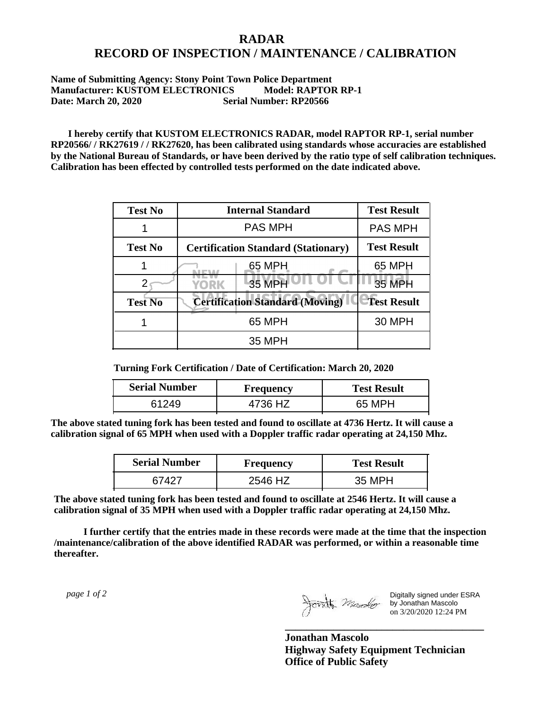## **RADAR RECORD OF INSPECTION / MAINTENANCE / CALIBRATION**

## **Name of Submitting Agency: Stony Point Town Police Department Manufacturer: KUSTOM ELECTRONICS Model: RAPTOR RP-1 Date: March 20, 2020 Serial Number: RP20566**

 **I hereby certify that KUSTOM ELECTRONICS RADAR, model RAPTOR RP-1, serial number RP20566/ / RK27619 / / RK27620, has been calibrated using standards whose accuracies are established by the National Bureau of Standards, or have been derived by the ratio type of self calibration techniques. Calibration has been effected by controlled tests performed on the date indicated above.**

| <b>Test No</b> | <b>Internal Standard</b>                   | <b>Test Result</b> |
|----------------|--------------------------------------------|--------------------|
|                | <b>PAS MPH</b>                             | <b>PAS MPH</b>     |
| <b>Test No</b> | <b>Certification Standard (Stationary)</b> | <b>Test Result</b> |
|                | 65 MPH                                     | 65 MPH             |
|                | 35 MPH<br>YORK                             | 35 MPH             |
| <b>Test No</b> | <b>Certification Standard (Moving)</b>     | <b>Test Result</b> |
|                | 65 MPH                                     | <b>30 MPH</b>      |
|                | 35 MPH                                     |                    |

**Turning Fork Certification / Date of Certification: March 20, 2020**

| <b>Serial Number</b> | Frequency | <b>Test Result</b> |
|----------------------|-----------|--------------------|
|                      | 4736 HZ   | 65 MPH             |

**The above stated tuning fork has been tested and found to oscillate at 4736 Hertz. It will cause a calibration signal of 65 MPH when used with a Doppler traffic radar operating at 24,150 Mhz.**

| <b>Serial Number</b> | <b>Frequency</b> | <b>Test Result</b> |
|----------------------|------------------|--------------------|
| 67427                | 2546 HZ          | 35 MPH             |

**The above stated tuning fork has been tested and found to oscillate at 2546 Hertz. It will cause a calibration signal of 35 MPH when used with a Doppler traffic radar operating at 24,150 Mhz.**

 **I further certify that the entries made in these records were made at the time that the inspection /maintenance/calibration of the above identified RADAR was performed, or within a reasonable time thereafter.**

 *page 1 of 2* 

Digitally signed under ESRA by Jonathan Mascolo on 3/20/2020 12:24 PM

**Jonathan Mascolo Highway Safety Equipment Technician Office of Public Safety**

**\_\_\_\_\_\_\_\_\_\_\_\_\_\_\_\_\_\_\_\_\_\_\_\_\_\_\_\_\_\_\_\_\_\_\_\_\_**